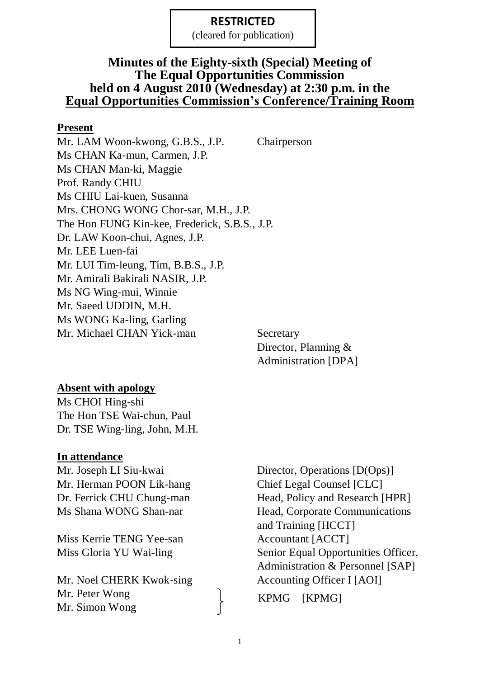(cleared for publication)

### **Minutes of the Eighty-sixth (Special) Meeting of The Equal Opportunities Commission held on 4 August 2010 (Wednesday) at 2:30 p.m. in the Equal Opportunities Commission's Conference/Training Room**

#### **Present**

Mr. LAM Woon-kwong, G.B.S., J.P. Chairperson Ms CHAN Ka-mun, Carmen, J.P. Ms CHAN Man-ki, Maggie Prof. Randy CHIU Ms CHIU Lai-kuen, Susanna Mrs. CHONG WONG Chor-sar, M.H., J.P. The Hon FUNG Kin-kee, Frederick, S.B.S., J.P. Dr. LAW Koon-chui, Agnes, J.P. Mr. LEE Luen-fai Mr. LUI Tim-leung, Tim, B.B.S., J.P. Mr. Amirali Bakirali NASIR, J.P. Ms NG Wing-mui, Winnie Mr. Saeed UDDIN, M.H. Ms WONG Ka-ling, Garling Mr. Michael CHAN Yick-man Secretary

Director, Planning & Administration [DPA]

#### **Absent with apology**

Ms CHOI Hing-shi The Hon TSE Wai-chun, Paul Dr. TSE Wing-ling, John, M.H.

#### **In attendance**

Mr. Herman POON Lik-hang Chief Legal Counsel [CLC]

Miss Kerrie TENG Yee-san Accountant [ACCT]

Mr. Noel CHERK Kwok-sing Accounting Officer I [AOI] Mr. Peter Wong Mr. Simon Wong

Mr. Joseph LI Siu-kwai Director, Operations [D(Ops)] Dr. Ferrick CHU Chung-man Head, Policy and Research [HPR] Ms Shana WONG Shan-nar Head, Corporate Communications and Training [HCCT] Miss Gloria YU Wai-ling Senior Equal Opportunities Officer, Administration & Personnel [SAP]

KPMG [KPMG]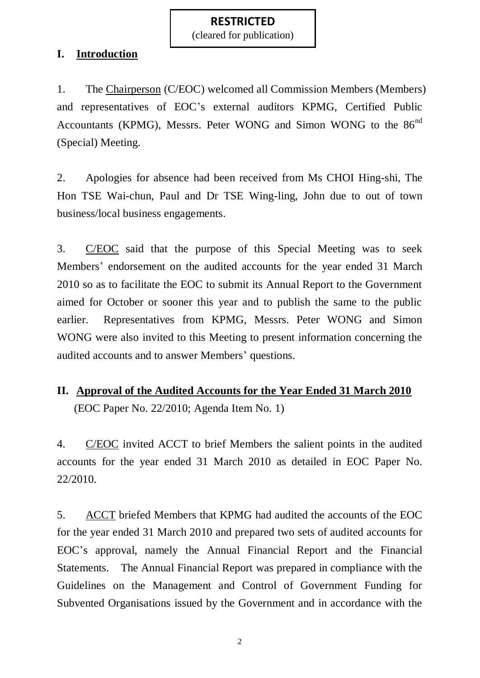(cleared for publication)

### **I. Introduction**

1. The Chairperson (C/EOC) welcomed all Commission Members (Members) and representatives of EOC's external auditors KPMG, Certified Public Accountants (KPMG), Messrs. Peter WONG and Simon WONG to the 86<sup>nd</sup> (Special) Meeting.

2. Apologies for absence had been received from Ms CHOI Hing-shi, The Hon TSE Wai-chun, Paul and Dr TSE Wing-ling, John due to out of town business/local business engagements.

3. C/EOC said that the purpose of this Special Meeting was to seek Members' endorsement on the audited accounts for the year ended 31 March 2010 so as to facilitate the EOC to submit its Annual Report to the Government aimed for October or sooner this year and to publish the same to the public earlier. Representatives from KPMG, Messrs. Peter WONG and Simon WONG were also invited to this Meeting to present information concerning the audited accounts and to answer Members' questions.

# **II. Approval of the Audited Accounts for the Year Ended 31 March 2010** (EOC Paper No. 22/2010; Agenda Item No. 1)

4. C/EOC invited ACCT to brief Members the salient points in the audited accounts for the year ended 31 March 2010 as detailed in EOC Paper No. 22/2010.

5. ACCT briefed Members that KPMG had audited the accounts of the EOC for the year ended 31 March 2010 and prepared two sets of audited accounts for EOC's approval, namely the Annual Financial Report and the Financial Statements. The Annual Financial Report was prepared in compliance with the Guidelines on the Management and Control of Government Funding for Subvented Organisations issued by the Government and in accordance with the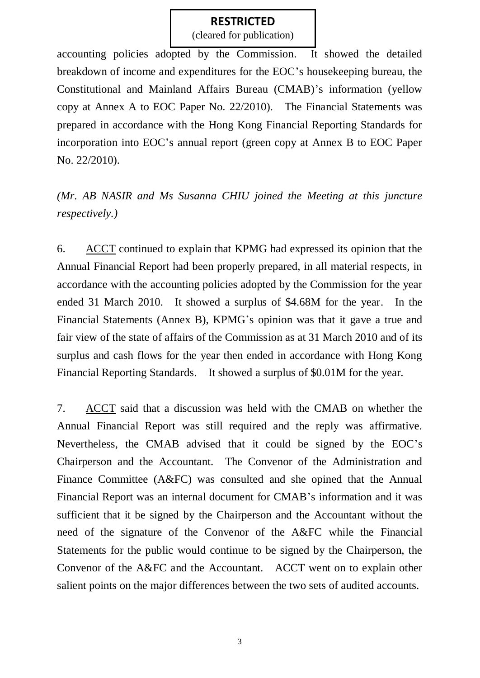(cleared for publication)

accounting policies adopted by the Commission. It showed the detailed breakdown of income and expenditures for the EOC's housekeeping bureau, the Constitutional and Mainland Affairs Bureau (CMAB)'s information (yellow copy at Annex A to EOC Paper No. 22/2010). The Financial Statements was prepared in accordance with the Hong Kong Financial Reporting Standards for incorporation into EOC's annual report (green copy at Annex B to EOC Paper No. 22/2010).

*(Mr. AB NASIR and Ms Susanna CHIU joined the Meeting at this juncture respectively.)*

6. ACCT continued to explain that KPMG had expressed its opinion that the Annual Financial Report had been properly prepared, in all material respects, in accordance with the accounting policies adopted by the Commission for the year ended 31 March 2010. It showed a surplus of \$4.68M for the year. In the Financial Statements (Annex B), KPMG's opinion was that it gave a true and fair view of the state of affairs of the Commission as at 31 March 2010 and of its surplus and cash flows for the year then ended in accordance with Hong Kong Financial Reporting Standards. It showed a surplus of \$0.01M for the year.

7. ACCT said that a discussion was held with the CMAB on whether the Annual Financial Report was still required and the reply was affirmative. Nevertheless, the CMAB advised that it could be signed by the EOC's Chairperson and the Accountant. The Convenor of the Administration and Finance Committee (A&FC) was consulted and she opined that the Annual Financial Report was an internal document for CMAB's information and it was sufficient that it be signed by the Chairperson and the Accountant without the need of the signature of the Convenor of the A&FC while the Financial Statements for the public would continue to be signed by the Chairperson, the Convenor of the A&FC and the Accountant. ACCT went on to explain other salient points on the major differences between the two sets of audited accounts.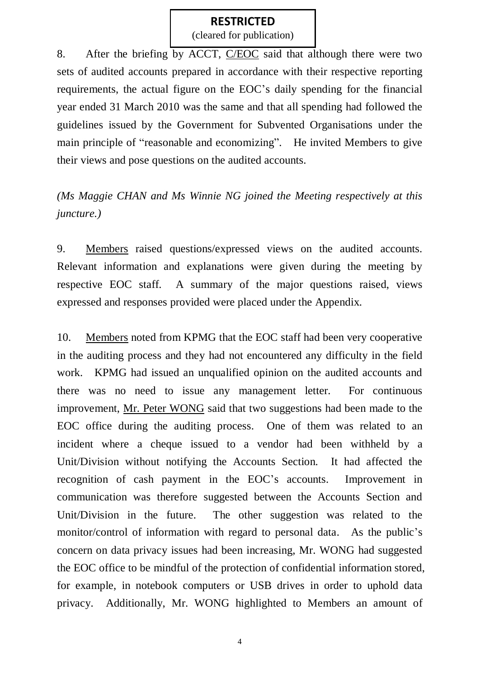(cleared for publication)

8. After the briefing by ACCT, C/EOC said that although there were two sets of audited accounts prepared in accordance with their respective reporting requirements, the actual figure on the EOC's daily spending for the financial year ended 31 March 2010 was the same and that all spending had followed the guidelines issued by the Government for Subvented Organisations under the main principle of "reasonable and economizing". He invited Members to give their views and pose questions on the audited accounts.

*(Ms Maggie CHAN and Ms Winnie NG joined the Meeting respectively at this juncture.)*

9. Members raised questions/expressed views on the audited accounts. Relevant information and explanations were given during the meeting by respective EOC staff. A summary of the major questions raised, views expressed and responses provided were placed under the Appendix.

10. Members noted from KPMG that the EOC staff had been very cooperative in the auditing process and they had not encountered any difficulty in the field work. KPMG had issued an unqualified opinion on the audited accounts and there was no need to issue any management letter. For continuous improvement, Mr. Peter WONG said that two suggestions had been made to the EOC office during the auditing process. One of them was related to an incident where a cheque issued to a vendor had been withheld by a Unit/Division without notifying the Accounts Section. It had affected the recognition of cash payment in the EOC's accounts. Improvement in communication was therefore suggested between the Accounts Section and Unit/Division in the future. The other suggestion was related to the monitor/control of information with regard to personal data. As the public's concern on data privacy issues had been increasing, Mr. WONG had suggested the EOC office to be mindful of the protection of confidential information stored, for example, in notebook computers or USB drives in order to uphold data privacy. Additionally, Mr. WONG highlighted to Members an amount of

4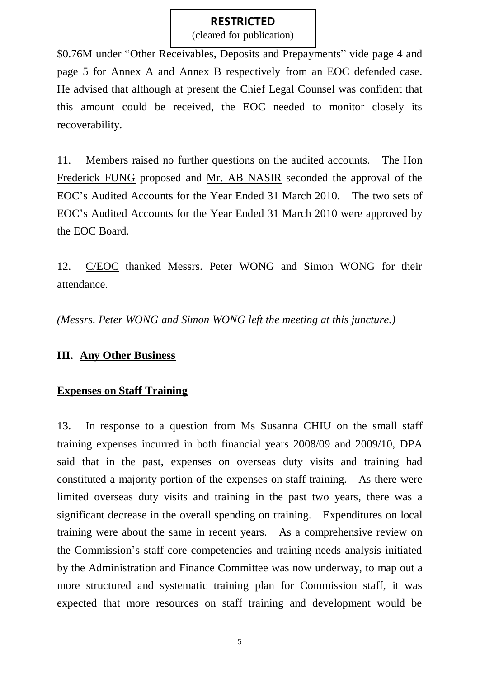(cleared for publication)

\$0.76M under "Other Receivables, Deposits and Prepayments" vide page 4 and page 5 for Annex A and Annex B respectively from an EOC defended case. He advised that although at present the Chief Legal Counsel was confident that this amount could be received, the EOC needed to monitor closely its recoverability.

11. Members raised no further questions on the audited accounts. The Hon Frederick FUNG proposed and Mr. AB NASIR seconded the approval of the EOC's Audited Accounts for the Year Ended 31 March 2010. The two sets of EOC's Audited Accounts for the Year Ended 31 March 2010 were approved by the EOC Board.

12. C/EOC thanked Messrs. Peter WONG and Simon WONG for their attendance.

*(Messrs. Peter WONG and Simon WONG left the meeting at this juncture.)*

## **III. Any Other Business**

## **Expenses on Staff Training**

13. In response to a question from Ms Susanna CHIU on the small staff training expenses incurred in both financial years 2008/09 and 2009/10, DPA said that in the past, expenses on overseas duty visits and training had constituted a majority portion of the expenses on staff training. As there were limited overseas duty visits and training in the past two years, there was a significant decrease in the overall spending on training. Expenditures on local training were about the same in recent years. As a comprehensive review on the Commission's staff core competencies and training needs analysis initiated by the Administration and Finance Committee was now underway, to map out a more structured and systematic training plan for Commission staff, it was expected that more resources on staff training and development would be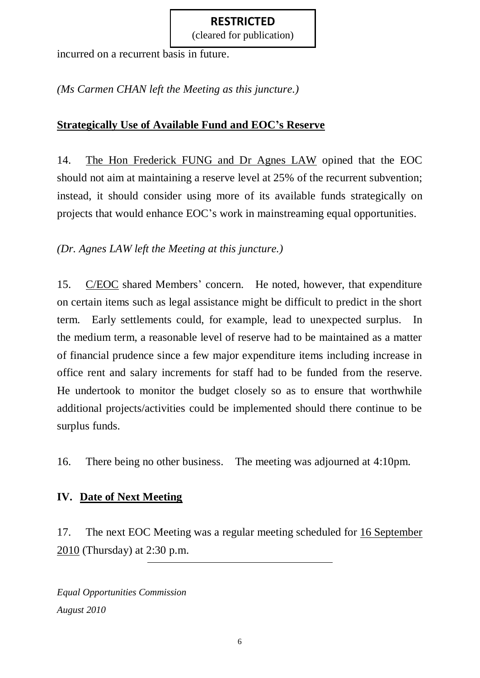(cleared for publication)

incurred on a recurrent basis in future.

*(Ms Carmen CHAN left the Meeting as this juncture.)*

### **Strategically Use of Available Fund and EOC's Reserve**

14. The Hon Frederick FUNG and Dr Agnes LAW opined that the EOC should not aim at maintaining a reserve level at 25% of the recurrent subvention; instead, it should consider using more of its available funds strategically on projects that would enhance EOC's work in mainstreaming equal opportunities.

### *(Dr. Agnes LAW left the Meeting at this juncture.)*

15. C/EOC shared Members' concern. He noted, however, that expenditure on certain items such as legal assistance might be difficult to predict in the short term. Early settlements could, for example, lead to unexpected surplus. In the medium term, a reasonable level of reserve had to be maintained as a matter of financial prudence since a few major expenditure items including increase in office rent and salary increments for staff had to be funded from the reserve. He undertook to monitor the budget closely so as to ensure that worthwhile additional projects/activities could be implemented should there continue to be surplus funds.

16. There being no other business. The meeting was adjourned at 4:10pm.

# **IV. Date of Next Meeting**

17. The next EOC Meeting was a regular meeting scheduled for 16 September 2010 (Thursday) at 2:30 p.m.

*Equal Opportunities Commission August 2010*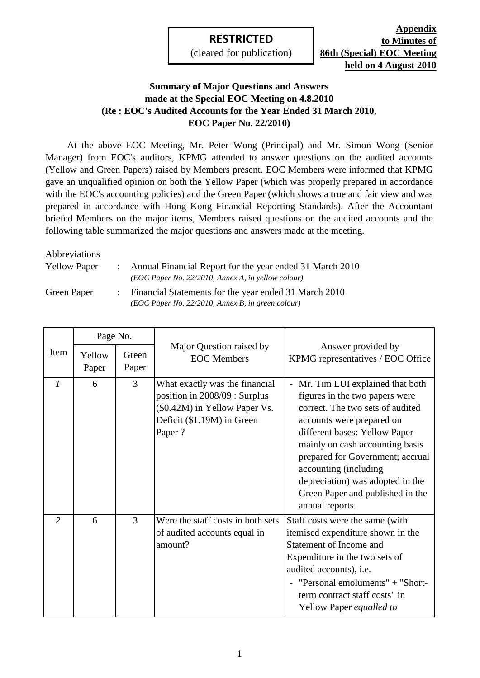(cleared for publication)

**Appendix to Minutes of 86th (Special) EOC Meeting held on 4 August 2010**

#### **Summary of Major Questions and Answers made at the Special EOC Meeting on 4.8.2010 (Re : EOC's Audited Accounts for the Year Ended 31 March 2010, EOC Paper No. 22/2010)**

At the above EOC Meeting, Mr. Peter Wong (Principal) and Mr. Simon Wong (Senior Manager) from EOC's auditors, KPMG attended to answer questions on the audited accounts (Yellow and Green Papers) raised by Members present. EOC Members were informed that KPMG gave an unqualified opinion on both the Yellow Paper (which was properly prepared in accordance with the EOC's accounting policies) and the Green Paper (which shows a true and fair view and was prepared in accordance with Hong Kong Financial Reporting Standards). After the Accountant briefed Members on the major items, Members raised questions on the audited accounts and the following table summarized the major questions and answers made at the meeting.

#### Abbreviations

: Yellow Paper : Annual Financial Report for the year ended 31 March 2010 *(EOC Paper No. 22/2010, Annex A, in yellow colour)*

Green Paper :

Financial Statements for the year ended 31 March 2010 *(EOC Paper No. 22/2010, Annex B, in green colour)*

|                | Page No.        |                |                                                                                                                                          |                                                                                                                                                                                                                                                                                                                                                                |
|----------------|-----------------|----------------|------------------------------------------------------------------------------------------------------------------------------------------|----------------------------------------------------------------------------------------------------------------------------------------------------------------------------------------------------------------------------------------------------------------------------------------------------------------------------------------------------------------|
| Item           | Yellow<br>Paper | Green<br>Paper | Major Question raised by<br><b>EOC</b> Members                                                                                           | Answer provided by<br>KPMG representatives / EOC Office                                                                                                                                                                                                                                                                                                        |
| $\mathcal{I}$  | 6               | 3              | What exactly was the financial<br>position in 2008/09 : Surplus<br>(\$0.42M) in Yellow Paper Vs.<br>Deficit (\$1.19M) in Green<br>Paper? | Mr. Tim LUI explained that both<br>figures in the two papers were<br>correct. The two sets of audited<br>accounts were prepared on<br>different bases: Yellow Paper<br>mainly on cash accounting basis<br>prepared for Government; accrual<br>accounting (including<br>depreciation) was adopted in the<br>Green Paper and published in the<br>annual reports. |
| $\overline{2}$ | 6               | 3              | Were the staff costs in both sets<br>of audited accounts equal in<br>amount?                                                             | Staff costs were the same (with<br>itemised expenditure shown in the<br>Statement of Income and<br>Expenditure in the two sets of<br>audited accounts), i.e.<br>- "Personal emoluments" + "Short-<br>term contract staff costs" in<br>Yellow Paper equalled to                                                                                                 |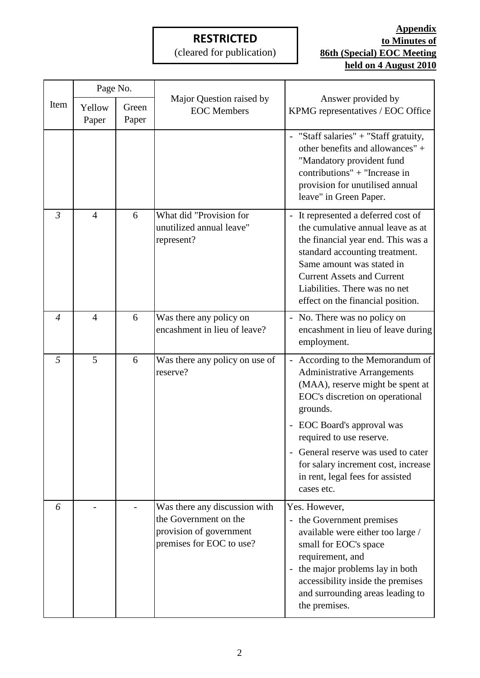(cleared for publication)

|                | Page No.        |                |                                                                                                               |                                                                                                                                                                                                                                                                                                                                                 |
|----------------|-----------------|----------------|---------------------------------------------------------------------------------------------------------------|-------------------------------------------------------------------------------------------------------------------------------------------------------------------------------------------------------------------------------------------------------------------------------------------------------------------------------------------------|
| Item           | Yellow<br>Paper | Green<br>Paper | Major Question raised by<br><b>EOC</b> Members                                                                | Answer provided by<br>KPMG representatives / EOC Office                                                                                                                                                                                                                                                                                         |
|                |                 |                |                                                                                                               | - "Staff salaries" + "Staff gratuity,<br>other benefits and allowances" +<br>"Mandatory provident fund<br>contributions" + "Increase in<br>provision for unutilised annual<br>leave" in Green Paper.                                                                                                                                            |
| $\mathfrak{Z}$ | $\overline{4}$  | 6              | What did "Provision for<br>unutilized annual leave"<br>represent?                                             | - It represented a deferred cost of<br>the cumulative annual leave as at<br>the financial year end. This was a<br>standard accounting treatment.<br>Same amount was stated in<br><b>Current Assets and Current</b><br>Liabilities. There was no net<br>effect on the financial position.                                                        |
| $\overline{4}$ | $\overline{4}$  | 6              | Was there any policy on<br>encashment in lieu of leave?                                                       | - No. There was no policy on<br>encashment in lieu of leave during<br>employment.                                                                                                                                                                                                                                                               |
| 5              | 5               | 6              | Was there any policy on use of<br>reserve?                                                                    | - According to the Memorandum of<br><b>Administrative Arrangements</b><br>(MAA), reserve might be spent at<br>EOC's discretion on operational<br>grounds.<br>EOC Board's approval was<br>required to use reserve.<br>General reserve was used to cater<br>for salary increment cost, increase<br>in rent, legal fees for assisted<br>cases etc. |
| 6              |                 |                | Was there any discussion with<br>the Government on the<br>provision of government<br>premises for EOC to use? | Yes. However,<br>the Government premises<br>available were either too large /<br>small for EOC's space<br>requirement, and<br>- the major problems lay in both<br>accessibility inside the premises<br>and surrounding areas leading to<br>the premises.                                                                                        |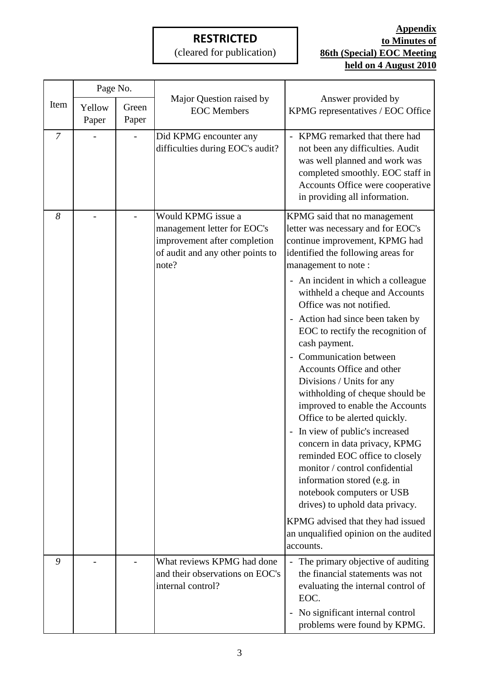(cleared for publication)

|                | Page No.        |                |                                                                                                                                |                                                                                                                                                                                                                                                                                                                                                                                                                                                                                                                                                                                                                                                                                                                                                                                                                                                                                           |
|----------------|-----------------|----------------|--------------------------------------------------------------------------------------------------------------------------------|-------------------------------------------------------------------------------------------------------------------------------------------------------------------------------------------------------------------------------------------------------------------------------------------------------------------------------------------------------------------------------------------------------------------------------------------------------------------------------------------------------------------------------------------------------------------------------------------------------------------------------------------------------------------------------------------------------------------------------------------------------------------------------------------------------------------------------------------------------------------------------------------|
| Item           | Yellow<br>Paper | Green<br>Paper | Major Question raised by<br><b>EOC</b> Members                                                                                 | Answer provided by<br>KPMG representatives / EOC Office                                                                                                                                                                                                                                                                                                                                                                                                                                                                                                                                                                                                                                                                                                                                                                                                                                   |
| $\overline{7}$ |                 |                | Did KPMG encounter any<br>difficulties during EOC's audit?                                                                     | KPMG remarked that there had<br>not been any difficulties. Audit<br>was well planned and work was<br>completed smoothly. EOC staff in<br>Accounts Office were cooperative<br>in providing all information.                                                                                                                                                                                                                                                                                                                                                                                                                                                                                                                                                                                                                                                                                |
| 8              |                 |                | Would KPMG issue a<br>management letter for EOC's<br>improvement after completion<br>of audit and any other points to<br>note? | KPMG said that no management<br>letter was necessary and for EOC's<br>continue improvement, KPMG had<br>identified the following areas for<br>management to note:<br>- An incident in which a colleague<br>withheld a cheque and Accounts<br>Office was not notified.<br>Action had since been taken by<br>EOC to rectify the recognition of<br>cash payment.<br>Communication between<br>Accounts Office and other<br>Divisions / Units for any<br>withholding of cheque should be<br>improved to enable the Accounts<br>Office to be alerted quickly.<br>- In view of public's increased<br>concern in data privacy, KPMG<br>reminded EOC office to closely<br>monitor / control confidential<br>information stored (e.g. in<br>notebook computers or USB<br>drives) to uphold data privacy.<br>KPMG advised that they had issued<br>an unqualified opinion on the audited<br>accounts. |
| 9              |                 |                | What reviews KPMG had done<br>and their observations on EOC's<br>internal control?                                             | The primary objective of auditing<br>$\equiv$<br>the financial statements was not<br>evaluating the internal control of<br>EOC.<br>No significant internal control<br>problems were found by KPMG.                                                                                                                                                                                                                                                                                                                                                                                                                                                                                                                                                                                                                                                                                        |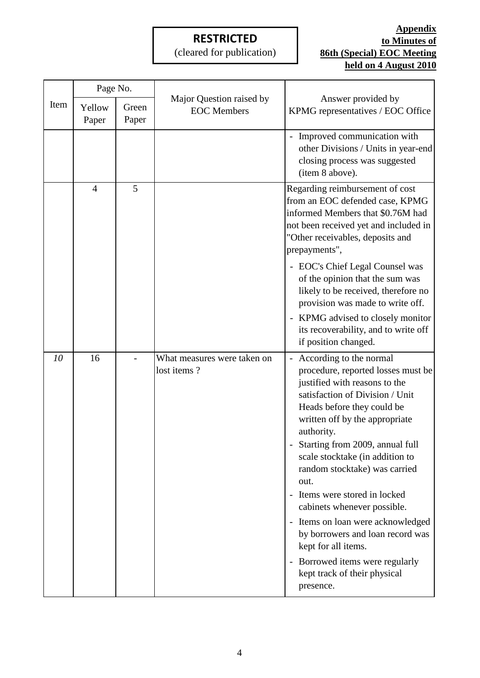(cleared for publication)

|      | Page No.        |                |                                                |                                                                                                                                                                                                                                                                                                                                                                                                                                                                                                                                     |
|------|-----------------|----------------|------------------------------------------------|-------------------------------------------------------------------------------------------------------------------------------------------------------------------------------------------------------------------------------------------------------------------------------------------------------------------------------------------------------------------------------------------------------------------------------------------------------------------------------------------------------------------------------------|
| Item | Yellow<br>Paper | Green<br>Paper | Major Question raised by<br><b>EOC</b> Members | Answer provided by<br>KPMG representatives / EOC Office                                                                                                                                                                                                                                                                                                                                                                                                                                                                             |
|      |                 |                |                                                | - Improved communication with<br>other Divisions / Units in year-end<br>closing process was suggested<br>(item 8 above).                                                                                                                                                                                                                                                                                                                                                                                                            |
|      | 4               | 5              |                                                | Regarding reimbursement of cost<br>from an EOC defended case, KPMG<br>informed Members that \$0.76M had<br>not been received yet and included in<br>"Other receivables, deposits and<br>prepayments",                                                                                                                                                                                                                                                                                                                               |
|      |                 |                |                                                | - EOC's Chief Legal Counsel was<br>of the opinion that the sum was<br>likely to be received, therefore no<br>provision was made to write off.                                                                                                                                                                                                                                                                                                                                                                                       |
|      |                 |                |                                                | - KPMG advised to closely monitor<br>its recoverability, and to write off<br>if position changed.                                                                                                                                                                                                                                                                                                                                                                                                                                   |
| 10   | 16              |                | What measures were taken on<br>lost items?     | - According to the normal<br>procedure, reported losses must be<br>justified with reasons to the<br>satisfaction of Division / Unit<br>Heads before they could be<br>written off by the appropriate<br>authority.<br>Starting from 2009, annual full<br>scale stocktake (in addition to<br>random stocktake) was carried<br>out.<br>- Items were stored in locked<br>cabinets whenever possible.<br>- Items on loan were acknowledged<br>by borrowers and loan record was<br>kept for all items.<br>- Borrowed items were regularly |
|      |                 |                |                                                | kept track of their physical<br>presence.                                                                                                                                                                                                                                                                                                                                                                                                                                                                                           |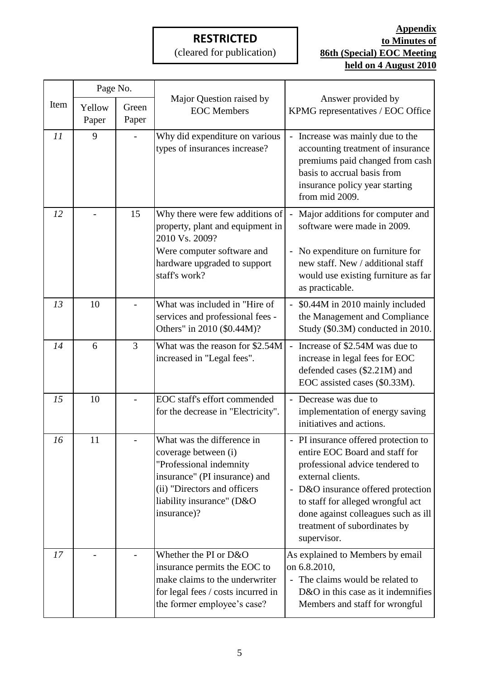(cleared for publication)

|      | Page No.        |                |                                                                                                                                                                                            |                                                                                                                                                                                                                                                                                                 |
|------|-----------------|----------------|--------------------------------------------------------------------------------------------------------------------------------------------------------------------------------------------|-------------------------------------------------------------------------------------------------------------------------------------------------------------------------------------------------------------------------------------------------------------------------------------------------|
| Item | Yellow<br>Paper | Green<br>Paper | Major Question raised by<br><b>EOC</b> Members                                                                                                                                             | Answer provided by<br>KPMG representatives / EOC Office                                                                                                                                                                                                                                         |
| 11   | 9               |                | Why did expenditure on various<br>types of insurances increase?                                                                                                                            | - Increase was mainly due to the<br>accounting treatment of insurance<br>premiums paid changed from cash<br>basis to accrual basis from<br>insurance policy year starting<br>from mid 2009.                                                                                                     |
| 12   |                 | 15             | Why there were few additions of<br>property, plant and equipment in<br>2010 Vs. 2009?<br>Were computer software and<br>hardware upgraded to support<br>staff's work?                       | Major additions for computer and<br>software were made in 2009.<br>No expenditure on furniture for<br>new staff. New / additional staff<br>would use existing furniture as far<br>as practicable.                                                                                               |
| 13   | 10              |                | What was included in "Hire of<br>services and professional fees -<br>Others" in 2010 (\$0.44M)?                                                                                            | \$0.44M in 2010 mainly included<br>the Management and Compliance<br>Study (\$0.3M) conducted in 2010.                                                                                                                                                                                           |
| 14   | 6               | $\overline{3}$ | What was the reason for \$2.54M<br>increased in "Legal fees".                                                                                                                              | Increase of \$2.54M was due to<br>increase in legal fees for EOC<br>defended cases (\$2.21M) and<br>EOC assisted cases (\$0.33M).                                                                                                                                                               |
| 15   | 10              |                | EOC staff's effort commended<br>for the decrease in "Electricity".                                                                                                                         | - Decrease was due to<br>implementation of energy saving<br>initiatives and actions.                                                                                                                                                                                                            |
| 16   | 11              |                | What was the difference in<br>coverage between (i)<br>"Professional indemnity<br>insurance" (PI insurance) and<br>(ii) "Directors and officers<br>liability insurance" (D&O<br>insurance)? | - PI insurance offered protection to<br>entire EOC Board and staff for<br>professional advice tendered to<br>external clients.<br>- D&O insurance offered protection<br>to staff for alleged wrongful act<br>done against colleagues such as ill<br>treatment of subordinates by<br>supervisor. |
| 17   |                 |                | Whether the PI or D&O<br>insurance permits the EOC to<br>make claims to the underwriter<br>for legal fees / costs incurred in<br>the former employee's case?                               | As explained to Members by email<br>on 6.8.2010,<br>The claims would be related to<br>D&O in this case as it indemnifies<br>Members and staff for wrongful                                                                                                                                      |